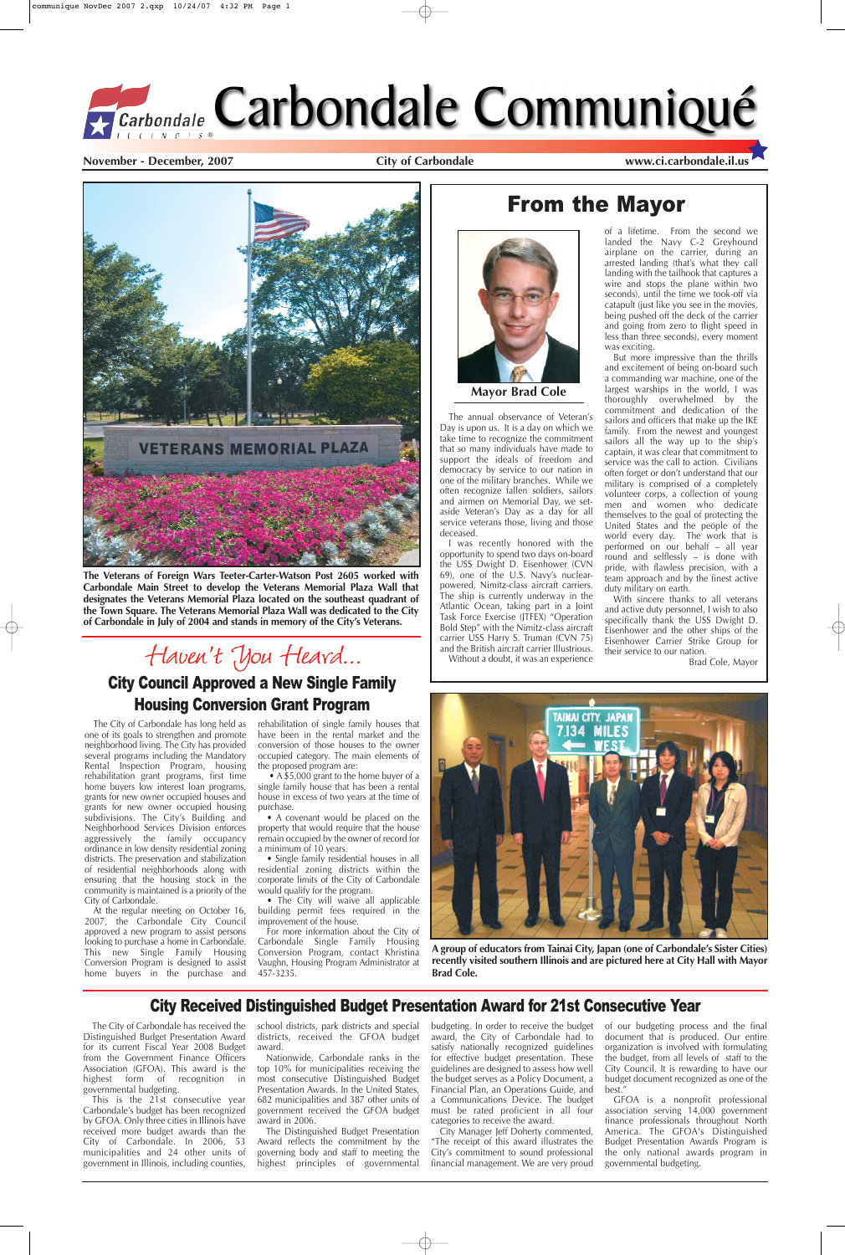**November - December, 2007 City of Carbondale www.ci.carbondale.il.us**



## From the Mayor



The City of Carbondale has long held as one of its goals to strengthen and promote neighborhood living. The City has provided several programs including the Mandatory Rental Inspection Program, housing rehabilitation grant programs, first time home buyers low interest loan programs, grants for new owner occupied houses and grants for new owner occupied housing subdivisions. The City's Building and Neighborhood Services Division enforces aggressively the family occupancy ordinance in low density residential zoning districts. The preservation and stabilization of residential neighborhoods along with

• A \$5,000 grant to the home buyer of a single family house that has been a rental house in excess of two years at the time of purchase.

• A covenant would be placed on the property that would require that the house remain occupied by the owner of record for a minimum of 10 years.

ensuring that the housing stock in the community is maintained is a priority of the City of Carbondale.

• The City will waive all applicable building permit fees required in the improvement of the house.

At the regular meeting on October 16, 2007, the Carbondale City Council approved a new program to assist persons looking to purchase a home in Carbondale. This new Single Family Housing Conversion Program is designed to assist home buyers in the purchase and

rehabilitation of single family houses that have been in the rental market and the conversion of those houses to the owner occupied category. The main elements of the proposed program are:

• Single family residential houses in all residential zoning districts within the corporate limits of the City of Carbondale would qualify for the program.

For more information about the City of Carbondale Single Family Housing Conversion Program, contact Khristina Vaughn, Housing Program Administrator at 457-3235.

## City Council Approved a New Single Family Housing Conversion Grant Program

The annual observance of Veteran's Day is upon us. It is a day on which we take time to recognize the commitment that so many individuals have made to support the ideals of freedom and democracy by service to our nation in one of the military branches. While we often recognize fallen soldiers, sailors and airmen on Memorial Day, we setaside Veteran's Day as a day for all service veterans those, living and those deceased.

I was recently honored with the opportunity to spend two days on-board the USS Dwight D. Eisenhower (CVN 69), one of the U.S. Navy's nuclearpowered, Nimitz-class aircraft carriers. The ship is currently underway in the Atlantic Ocean, taking part in a Joint Task Force Exercise (JTFEX) "Operation Bold Step" with the Nimitz-class aircraft carrier USS Harry S. Truman (CVN 75) and the British aircraft carrier Illustrious.

Without a doubt, it was an experience

of a lifetime. From the second we landed the Navy C-2 Greyhound airplane on the carrier, during an arrested landing (that's what they call landing with the tailhook that captures a wire and stops the plane within two seconds), until the time we took-off via catapult (just like you see in the movies, being pushed off the deck of the carrier and going from zero to flight speed in less than three seconds), every moment was exciting.

of our budgeting process and the final document that is produced. Our entire organization is involved with formulating the budget, from all levels of staff to the City Council. It is rewarding to have our budget document recognized as one of the best.'

But more impressive than the thrills and excitement of being on-board such a commanding war machine, one of the largest warships in the world, I was thoroughly overwhelmed by the commitment and dedication of the sailors and officers that make up the IKE family. From the newest and youngest sailors all the way up to the ship's captain, it was clear that commitment to service was the call to action. Civilians often forget or don't understand that our military is comprised of a completely volunteer corps, a collection of young men and women who dedicate themselves to the goal of protecting the United States and the people of the world every day. The work that is performed on our behalf – all year round and selflessly – is done with pride, with flawless precision, with a team approach and by the finest active duty military on earth.

With sincere thanks to all veterans and active duty personnel, I wish to also specifically thank the USS Dwight D. Eisenhower and the other ships of the Eisenhower Carrier Strike Group for their service to our nation.

Brad Cole, Mayor





**Mayor Brad Cole**

**A group of educators from Tainai City, Japan (one of Carbondale's Sister Cities) recently visited southern Illinois and are pictured here at City Hall with Mayor Brad Cole.**

### City Received Distinguished Budget Presentation Award for 21st Consecutive Year

The City of Carbondale has received the Distinguished Budget Presentation Award for its current Fiscal Year 2008 Budget from the Government Finance Officers Association (GFOA). This award is the highest form of recognition in governmental budgeting.

This is the 21st consecutive year Carbondale's budget has been recognized by GFOA. Only three cities in Illinois have received more budget awards than the City of Carbondale. In 2006, 53 municipalities and 24 other units of government in Illinois, including counties,

school districts, park districts and special districts, received the GFOA budget award.

Nationwide, Carbondale ranks in the top 10% for municipalities receiving the most consecutive Distinguished Budget Presentation Awards. In the United States, 682 municipalities and 387 other units of government received the GFOA budget award in 2006.

The Distinguished Budget Presentation Award reflects the commitment by the governing body and staff to meeting the highest principles of governmental

budgeting. In order to receive the budget award, the City of Carbondale had to satisfy nationally recognized guidelines for effective budget presentation. These guidelines are designed to assess how well the budget serves as a Policy Document, a Financial Plan, an Operations Guide, and a Communications Device. The budget must be rated proficient in all four categories to receive the award.

City Manager Jeff Doherty commented, "The receipt of this award illustrates the City's commitment to sound professional financial management. We are very proud

GFOA is a nonprofit professional association serving 14,000 government finance professionals throughout North America. The GFOA's Distinguished Budget Presentation Awards Program is the only national awards program in governmental budgeting.

**The Veterans of Foreign Wars Teeter-Carter-Watson Post 2605 worked with Carbondale Main Street to develop the Veterans Memorial Plaza Wall that designates the Veterans Memorial Plaza located on the southeast quadrant of the Town Square. The Veterans Memorial Plaza Wall was dedicated to the City of Carbondale in July of 2004 and stands in memory of the City's Veterans.**

# Haven't You Heard...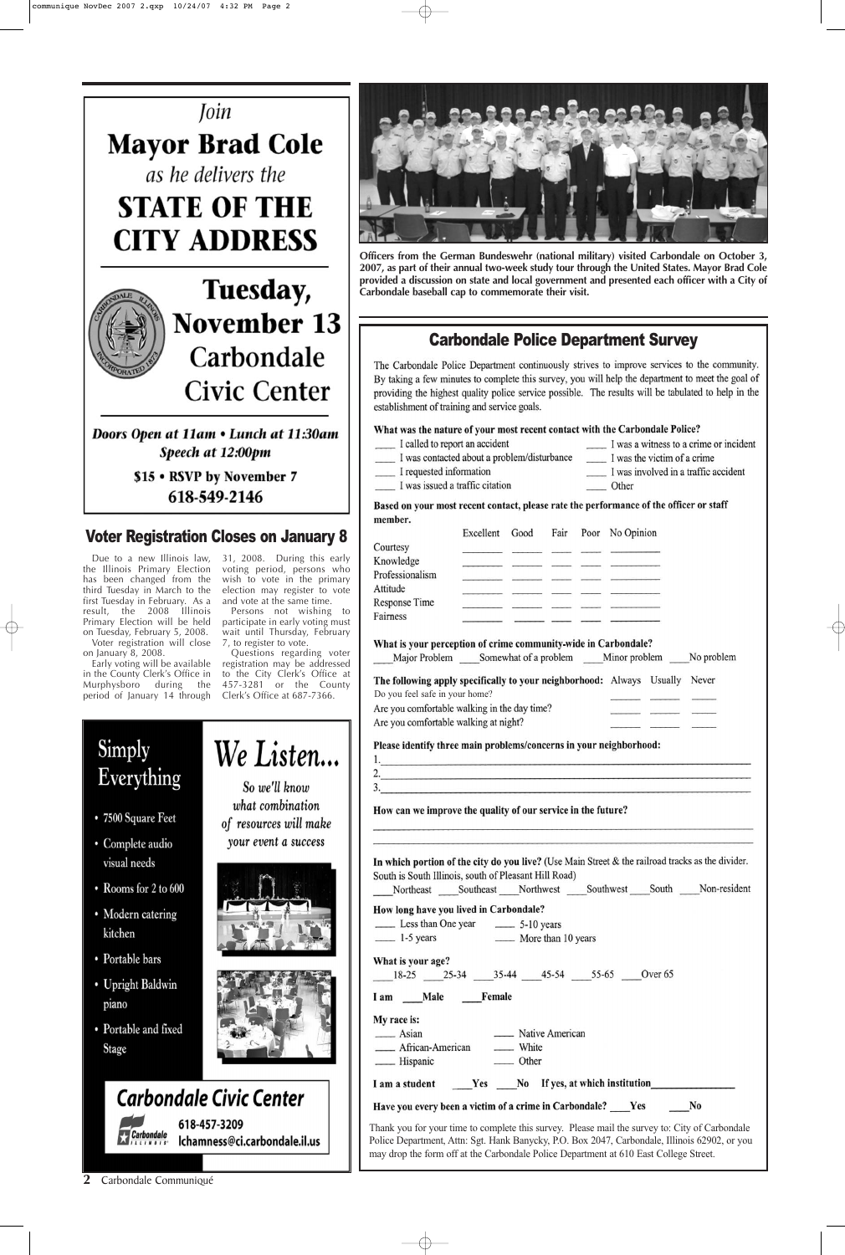**Officers from the German Bundeswehr (national military) visited Carbondale on October 3, 2007, as part of their annual two-week study tour through the United States. Mayor Brad Cole provided a discussion on state and local government and presented each officer with a City of Carbondale baseball cap to commemorate their visit.**

**2** Carbondale Communiqué

#### Carbondale Police Department Survey

The Carbondale Police Department continuously strives to improve services to the community. By taking a few minutes to complete this survey, you will help the department to meet the goal of providing the highest quality police service possible. The results will be tabulated to help in the establishment of training and service goals.

#### What was the nature of your most recent contact with the Carbondale Police?

- I called to report an accident
- I was contacted about a problem/disturbance \_ I requested information
- I was a witness to a crime or incident I was the victim of a crime
- I was involved in a traffic accident
- I was issued a traffic citation
- \_\_\_\_\_ Other

Based on your most recent contact, please rate the performance of the officer or staff member.

|                                                                       | Excellent                                         | Good | Fair | Poor | No Opinion |            |
|-----------------------------------------------------------------------|---------------------------------------------------|------|------|------|------------|------------|
| Courtesy                                                              |                                                   |      |      |      |            |            |
| Knowledge                                                             |                                                   |      |      |      |            |            |
| Professionalism                                                       |                                                   |      |      |      |            |            |
| Attitude                                                              |                                                   |      |      |      |            |            |
| Response Time                                                         |                                                   |      |      |      |            |            |
| Fairness                                                              |                                                   |      |      |      |            |            |
| What is your perception of crime community-wide in Carbondale?        | Major Problem Somewhat of a problem Minor problem |      |      |      |            | No problem |
| The following apply specifically to your neighborhood: Always Usually |                                                   |      |      |      |            | Never      |
| Do you feel safe in your home?                                        |                                                   |      |      |      |            |            |
| Are you comfortable walking in the day time?                          |                                                   |      |      |      |            |            |
| Are you comfortable walking at night?                                 |                                                   |      |      |      |            |            |
|                                                                       |                                                   |      |      |      |            |            |

Please identify three main problems/concerns in your neighborhood:

How can we improve the quality of our service in the future?

Simply Everything

- 7500 Square Feet
- · Complete audio visual needs

So we'll know what combination of resources will make your event a success

We Listen...



In which portion of the city do you live? (Use Main Street & the railroad tracks as the divider. South is South Illinois, south of Pleasant Hill Road)

- Rooms for 2 to 600
- Modern catering kitchen
- Portable bars
- Upright Baldwin piano
- Portable and fixed **Stage**



|            | <b>Carbondale Civic Center</b>                |
|------------|-----------------------------------------------|
| Carbondale | 618-457-3209<br>Ichamness@ci.carbondale.il.us |

| Northeast Southeast Northwest Southwest South Non-resident                                                                                                                                                                                                                               |                 |  |                |
|------------------------------------------------------------------------------------------------------------------------------------------------------------------------------------------------------------------------------------------------------------------------------------------|-----------------|--|----------------|
| How long have you lived in Carbondale?                                                                                                                                                                                                                                                   |                 |  |                |
|                                                                                                                                                                                                                                                                                          |                 |  |                |
| 1-5 years 10 More than 10 years                                                                                                                                                                                                                                                          |                 |  |                |
| What is your age?                                                                                                                                                                                                                                                                        |                 |  |                |
| 18-25 25-34 35-44 45-54 55-65 Over 65                                                                                                                                                                                                                                                    |                 |  |                |
| My race is:<br>$\frac{1}{2}$ Asian<br>_____ African-American ______ White                                                                                                                                                                                                                | Native American |  |                |
| I am a student Yes No If yes, at which institution                                                                                                                                                                                                                                       |                 |  |                |
| Have you every been a victim of a crime in Carbondale? ____Yes ___                                                                                                                                                                                                                       |                 |  | N <sub>0</sub> |
| Thank you for your time to complete this survey. Please mail the survey to: City of Carbondale<br>Police Department, Attn: Sgt. Hank Banycky, P.O. Box 2047, Carbondale, Illinois 62902, or you<br>may drop the form off at the Carbondale Police Department at 610 East College Street. |                 |  |                |





on January 8, 2008.

in the County Clerk's Office in Murphysboro during the voting period, persons who wish to vote in the primary election may register to vote and vote at the same time.

Early voting will be available registration may be addressed period of January 14 through Clerk's Office at 687-7366. Do you feel safe in your home? Questions regarding voter to the City Clerk's Office at 457-3281 or the County



Persons not wishing to participate in early voting must wait until Thursday, February 7, to register to vote.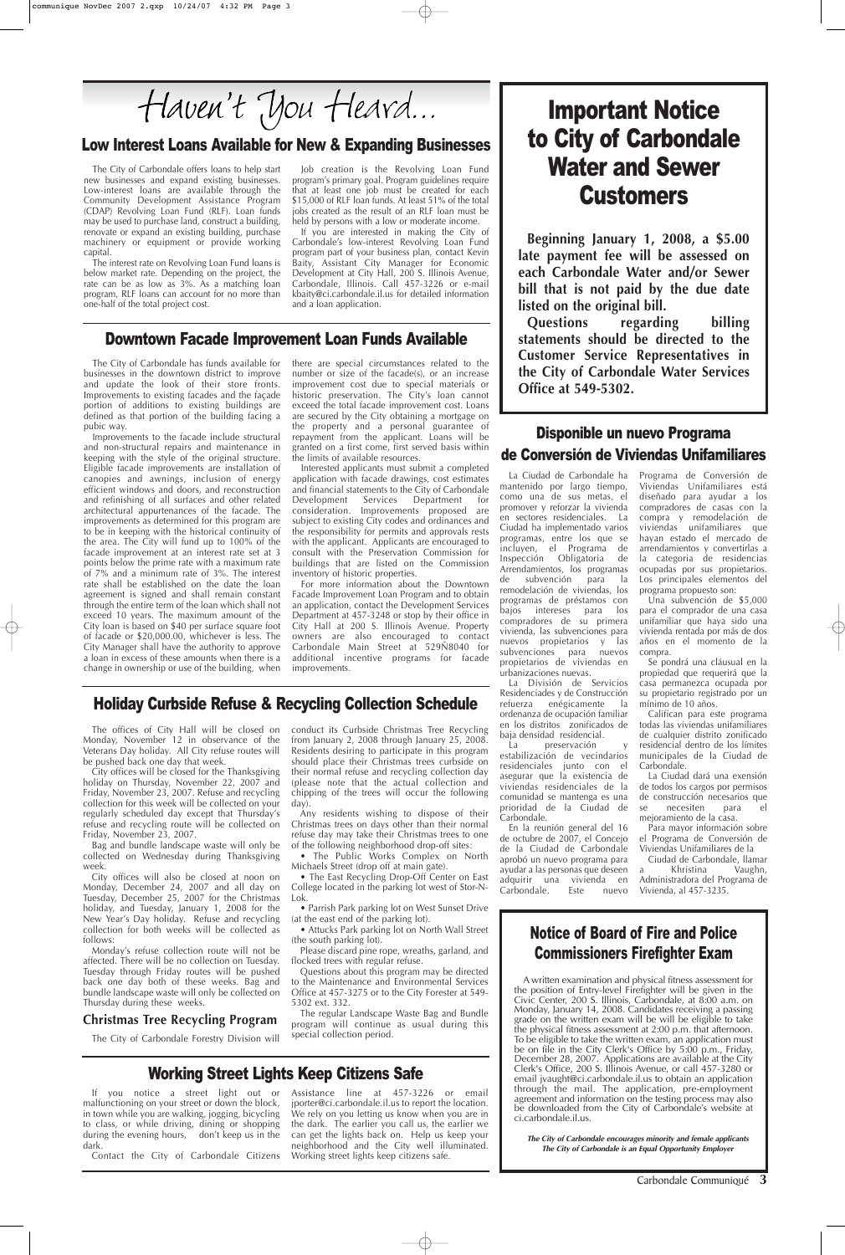## Notice of Board of Fire and Police Commissioners Firefighter Exam

A written examination and physical fitness assessment for the position of Entry-level Firefighter will be given in the Civic Center, 200 S. Illinois, Carbondale, at 8:00 a.m. on Monday, January 14, 2008. Candidates receiving a passing grade on the written exam will be will be eligible to take the physical fitness assessment at 2:00 p.m. that afternoon. To be eligible to take the written exam, an application must be on file in the City Clerk's Office by 5:00 p.m., Friday, December 28, 2007. Applications are available at the City Clerk's Office, 200 S. Illinois Avenue, or call 457-3280 or email jvaught@ci.carbondale.il.us to obtain an application through the mail. The application, pre-employment agreement and information on the testing process may also be downloaded from the City of Carbondale's website at ci.carbondale.il.us.

**The City of Carbondale encourages minority and female applicants The City of Carbondale is an Equal Opportunity Employer**

The City of Carbondale offers loans to help start new businesses and expand existing businesses. Low-interest loans are available through the Community Development Assistance Program (CDAP) Revolving Loan Fund (RLF). Loan funds may be used to purchase land, construct a building, renovate or expand an existing building, purchase machinery or equipment or provide working capital.

The interest rate on Revolving Loan Fund loans is below market rate. Depending on the project, the rate can be as low as 3%. As a matching loan program, RLF loans can account for no more than one-half of the total project cost.

Job creation is the Revolving Loan Fund program's primary goal. Program guidelines require that at least one job must be created for each \$15,000 of RLF loan funds. At least 51% of the total jobs created as the result of an RLF loan must be held by persons with a low or moderate income.

If you are interested in making the City of Carbondale's low-interest Revolving Loan Fund program part of your business plan, contact Kevin Baity, Assistant City Manager for Economic Development at City Hall, 200 S. Illinois Avenue, Carbondale, Illinois. Call 457-3226 or e-mail kbaity@ci.carbondale.il.us for detailed information and a loan application.

## Disponible un nuevo Programa de Conversión de Viviendas Unifamiliares

#### Downtown Facade Improvement Loan Funds Available

The City of Carbondale has funds available for businesses in the downtown district to improve and update the look of their store fronts. Improvements to existing facades and the façade portion of additions to existing buildings are defined as that portion of the building facing a pubic way.

> La preservación estabilización de vecindarios residenciales junto con el asegurar que la existencia de viviendas residenciales de la comunidad se mantenga es una prioridad de la Ciudad de Carbondale.

En la reunión general del 16 de octubre de 2007, el Concejo de la Ciudad de Carbondale aprobó un nuevo programa para ayudar a las personas que deseen adquirir una vivienda en Carbondale. Este Viviendas Unifamiliares de la Ciudad de Carbondale, llamar nuevo Vivienda, al 457-3235.

Improvements to the facade include structural and non-structural repairs and maintenance in keeping with the style of the original structure. Eligible facade improvements are installation of canopies and awnings, inclusion of energy efficient windows and doors, and reconstruction and refinishing of all surfaces and other related architectural appurtenances of the facade. The improvements as determined for this program are to be in keeping with the historical continuity of the area. The City will fund up to 100% of the facade improvement at an interest rate set at 3 points below the prime rate with a maximum rate of 7% and a minimum rate of 3%. The interest rate shall be established on the date the loan agreement is signed and shall remain constant through the entire term of the loan which shall not exceed 10 years. The maximum amount of the City loan is based on \$40 per surface square foot of facade or \$20,000.00, whichever is less. The City Manager shall have the authority to approve a loan in excess of these amounts when there is a change in ownership or use of the building, when

> Khristina Vaughn, Administradora del Programa de

## Important Notice to City of Carbondale Water and Sewer **Customers**

there are special circumstances related to the number or size of the facade(s), or an increase improvement cost due to special materials or historic preservation. The City's loan cannot exceed the total facade improvement cost. Loans are secured by the City obtaining a mortgage on the property and a personal guarantee of repayment from the applicant. Loans will be granted on a first come, first served basis within the limits of available resources.

Interested applicants must submit a completed application with facade drawings, cost estimates and financial statements to the City of Carbondale Development Services Department for consideration. Improvements proposed are subject to existing City codes and ordinances and the responsibility for permits and approvals rests with the applicant. Applicants are encouraged to consult with the Preservation Commission for buildings that are listed on the Commission inventory of historic properties.

For more information about the Downtown Facade Improvement Loan Program and to obtain an application, contact the Development Services Department at 457-3248 or stop by their office in City Hall at 200 S. Illinois Avenue. Property owners are also encouraged to contact Carbondale Main Street at 529Ñ8040 for additional incentive programs for facade improvements.

Carbondale Communiqué **3**

La Ciudad de Carbondale ha mantenido por largo tiempo, como una de sus metas, el promover y reforzar la vivienda en sectores residenciales. La Ciudad ha implementado varios programas, entre los que se incluyen, el Programa de Inspección Obligatoria de Arrendamientos, los programas de subvención para la remodelación de viviendas, los programas de préstamos con bajos intereses para los compradores de su primera vivienda, las subvenciones para nuevos propietarios y las subvenciones para nuevos propietarios de viviendas en urbanizaciones nuevas.

La División de Servicios Residenciades y de Construcción refuerza enégicamente la ordenanza de ocupación familiar en los distritos zonificados de baja densidad residencial.

Programa de Conversión de Viviendas Unifamiliares está diseñado para ayudar a los compradores de casas con la compra y remodelación de viviendas unifamiliares que hayan estado el mercado de arrendamientos y convertirlas a la categoria de residencias ocupadas por sus propietarios. Los principales elementos del programa propuesto son:

Una subvención de \$5,000 para el comprador de una casa unifamiliar que haya sido una vivienda rentada por más de dos años en el momento de la compra.

Se pondrá una cláusual en la propiedad que requerirá que la casa permanezca ocupada por su propietario registrado por un mínimo de 10 años.

Califican para este programa todas las viviendas unifamiliares de cualquier distrito zonificado residencial dentro de los límites municipales de la Ciudad de Carbondale.

La Ciudad dará una exensión de todos los cargos por permisos de construcción necesarios que se necesiten para el mejoramiento de la casa.

Para mayor información sobre el Programa de Conversión de

**Beginning January 1, 2008, a \$5.00 late payment fee will be assessed on each Carbondale Water and/or Sewer bill that is not paid by the due date listed on the original bill.**

**Questions regarding billing statements should be directed to the Customer Service Representatives in the City of Carbondale Water Services Office at 549-5302.**

#### Holiday Curbside Refuse & Recycling Collection Schedule

The offices of City Hall will be closed on Monday, November 12 in observance of the Veterans Day holiday. All City refuse routes will be pushed back one day that week.

City offices will be closed for the Thanksgiving holiday on Thursday, November 22, 2007 and Friday, November 23, 2007. Refuse and recycling collection for this week will be collected on your regularly scheduled day except that Thursday's refuse and recycling route will be collected on Friday, November 23, 2007.

Bag and bundle landscape waste will only be collected on Wednesday during Thanksgiving week.

City offices will also be closed at noon on Monday, December 24, 2007 and all day on Tuesday, December 25, 2007 for the Christmas holiday, and Tuesday, January 1, 2008 for the New Year's Day holiday. Refuse and recycling collection for both weeks will be collected as follows: Monday's refuse collection route will not be affected. There will be no collection on Tuesday. Tuesday through Friday routes will be pushed back one day both of these weeks. Bag and bundle landscape waste will only be collected on Thursday during these weeks.

#### **Christmas Tree Recycling Program**

The City of Carbondale Forestry Division will

conduct its Curbside Christmas Tree Recycling from January 2, 2008 through January 25, 2008. Residents desiring to participate in this program should place their Christmas trees curbside on their normal refuse and recycling collection day (please note that the actual collection and chipping of the trees will occur the following day).

Any residents wishing to dispose of their Christmas trees on days other than their normal refuse day may take their Christmas trees to one of the following neighborhood drop-off sites:

• The Public Works Complex on North Michaels Street (drop off at main gate).

 $\bullet$  The East Recycling Drop-Off Center on

College located in the parking lot west of Stor-N-Lok.

• Parrish Park parking lot on West Sunset Drive (at the east end of the parking lot).

• Attucks Park parking lot on North Wall Street (the south parking lot).

Please discard pine rope, wreaths, garland, and flocked trees with regular refuse.

Questions about this program may be directed to the Maintenance and Environmental Services Office at 457-3275 or to the City Forester at 549- 5302 ext. 332.

The regular Landscape Waste Bag and Bundle program will continue as usual during this special collection period.

### Low Interest Loans Available for New & Expanding Businesses

## Working Street Lights Keep Citizens Safe

If you notice a street light out or malfunctioning on your street or down the block, in town while you are walking, jogging, bicycling to class, or while driving, dining or shopping during the evening hours, don't keep us in the dark.

Contact the City of Carbondale Citizens

Assistance line at 457-3226 or email jporter@ci.carbondale.il.us to report the location. We rely on you letting us know when you are in the dark. The earlier you call us, the earlier we can get the lights back on. Help us keep your neighborhood and the City well illuminated. Working street lights keep citizens safe.

Haven't You Heard...